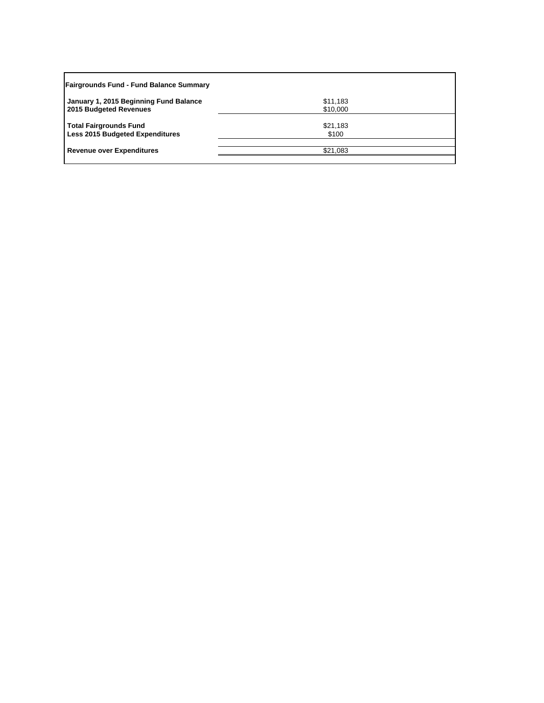| <b>Fairgrounds Fund - Fund Balance Summary</b>                          |                      |  |
|-------------------------------------------------------------------------|----------------------|--|
| January 1, 2015 Beginning Fund Balance<br>2015 Budgeted Revenues        | \$11,183<br>\$10,000 |  |
| <b>Total Fairgrounds Fund</b><br><b>Less 2015 Budgeted Expenditures</b> | \$21,183<br>\$100    |  |
| <b>Revenue over Expenditures</b>                                        | \$21,083             |  |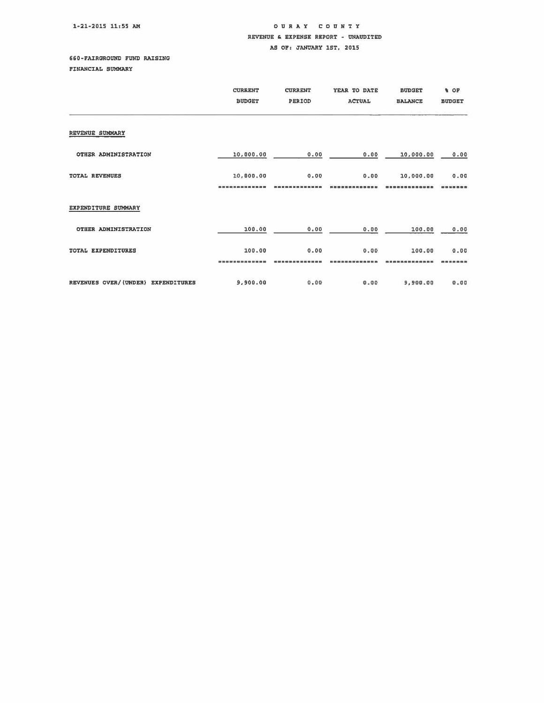## 1-21-2015 11:55 AM

## OUR A Y COUNTY REVENUE & EXPENSE REPORT - UNAUDITED AS OF: JANUARY 1ST, 2015

## 660-FAIRGROUND FUND RAISING

PINANCIAL SUMMARY

|                                    | <b>CURRENT</b><br><b>BUDGET</b> | <b>CURRENT</b><br>PERIOD | YEAR TO DATE<br><b>ACTUAL</b> | <b>BUDGET</b><br><b>BALANCE</b> | <b>N</b> OF<br><b>BUDGET</b> |
|------------------------------------|---------------------------------|--------------------------|-------------------------------|---------------------------------|------------------------------|
| REVENUE SUMMARY                    |                                 |                          |                               |                                 |                              |
| OTHER ADMINISTRATION               | 10,000.00                       | 0.00                     | 0.00                          | 10,000.00                       | 0.00                         |
| <b>TOTAL REVENUES</b>              | 10,000.00                       | 0.00                     | 0.00                          | 10,000.00                       | 0.00                         |
| EXPENDITURE SUMMARY                |                                 |                          |                               |                                 |                              |
| OTHER ADMINISTRATION               | 100.00                          | 0.00                     | 0.00                          | 100.00                          | 0.00                         |
| TOTAL EXPENDITURES                 | 100.00                          | 0.00                     | 0.00                          | 100.00                          | 0.00                         |
| REVENUES OVER/(UNDER) EXPENDITURES | 9,900.00                        | 0.00                     | 0.00                          | 9,900.00                        | 0.00                         |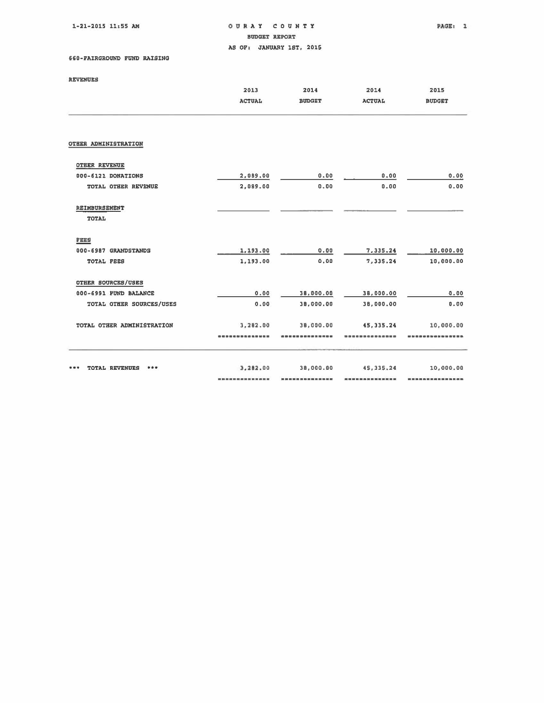1-21-2015 11:55 AM

oaR A Y COUNTY BUDGET REPORT AS OF: JANUARY 1ST, 2015

## 660-FAIRGROUND FUND RAISING

|                               | 2013<br><b>ACTUAL</b> | 2014<br><b>BUDGET</b> | 2014<br><b>ACTUAL</b> | 2015<br><b>BUDGET</b> |
|-------------------------------|-----------------------|-----------------------|-----------------------|-----------------------|
| OTHER ADMINISTRATION          |                       |                       |                       |                       |
| OTHER REVENUE                 |                       |                       |                       |                       |
| 000-6121 DONATIONS            | 2,089.00              | 0.00                  | 0.00                  | 0.00                  |
| TOTAL OTHER REVENUE           | 2,089.00              | 0.00                  | 0.00                  | 0.00                  |
| REIMBURSEMENT<br><b>TOTAL</b> |                       |                       |                       |                       |
| FEES                          |                       |                       |                       |                       |
| 000-6987 GRANDSTANDS          | 1,193.00              | 0.00                  | 7,335.24              | 10,000.00             |
| TOTAL FEES                    | 1,193.00              | 0.00                  | 7,335.24              | 10,000.00             |
| OTHER SOURCES/USES            |                       |                       |                       |                       |
| 000-6991 FUND BALANCE         | 0.00                  | 38,000.00             | 38,000.00             | 0.00                  |
| TOTAL OTHER SOURCES/USES      | 0.00                  | 38,000,00             | 38,000.00             | 0.00                  |
| TOTAL OTHER ADMINISTRATION    | 3,282.00              | 38,000.00             | 45, 335, 24           | 10,000.00             |
|                               |                       |                       |                       |                       |
| <b>TOTAL REVENUES</b><br>***  | 3,282.00              | 38,000.00             | 45, 335.24            | 10,000.00             |
|                               |                       |                       |                       |                       |
|                               |                       |                       |                       |                       |